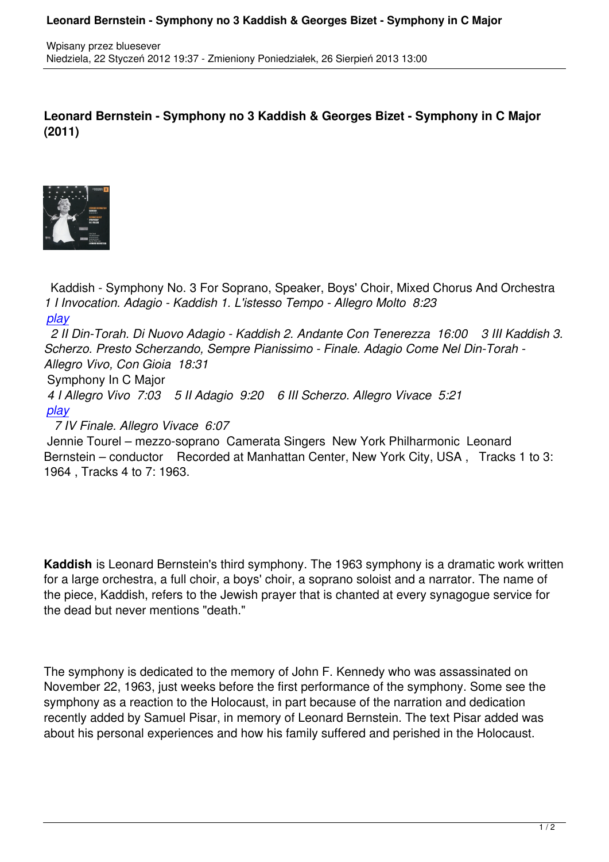**Leonard Bernstein - Symphony no 3 Kaddish & Georges Bizet - Symphony in C Major (2011)**



 Kaddish - Symphony No. 3 For Soprano, Speaker, Boys' Choir, Mixed Chorus And Orchestra *1 I Invocation. Adagio - Kaddish 1. L'istesso Tempo - Allegro Molto 8:23 play 2 II Din-Torah. Di Nuovo Adagio - Kaddish 2. Andante Con Tenerezza 16:00 3 III Kaddish 3. Scherzo. Presto Scherzando, Sempre Pianissimo - Finale. Adagio Come Nel Din-Torah - [Alleg](http://www.box.com/s/oe1ibbeiv42ym0af8pj6)ro Vivo, Con Gioia 18:31*  Symphony In C Major  *4 I Allegro Vivo 7:03 5 II Adagio 9:20 6 III Scherzo. Allegro Vivace 5:21 play*

 *7 IV Finale. Allegro Vivace 6:07* 

 Jennie Tourel – mezzo-soprano Camerata Singers New York Philharmonic Leonard [Bern](http://www.box.com/s/drhtpyhjkffbjhs9uvez)stein – conductor Recorded at Manhattan Center, New York City, USA, Tracks 1 to 3: 1964 , Tracks 4 to 7: 1963.

**Kaddish** is Leonard Bernstein's third symphony. The 1963 symphony is a dramatic work written for a large orchestra, a full choir, a boys' choir, a soprano soloist and a narrator. The name of the piece, Kaddish, refers to the Jewish prayer that is chanted at every synagogue service for the dead but never mentions "death."

The symphony is dedicated to the memory of John F. Kennedy who was assassinated on November 22, 1963, just weeks before the first performance of the symphony. Some see the symphony as a reaction to the Holocaust, in part because of the narration and dedication recently added by Samuel Pisar, in memory of Leonard Bernstein. The text Pisar added was about his personal experiences and how his family suffered and perished in the Holocaust.